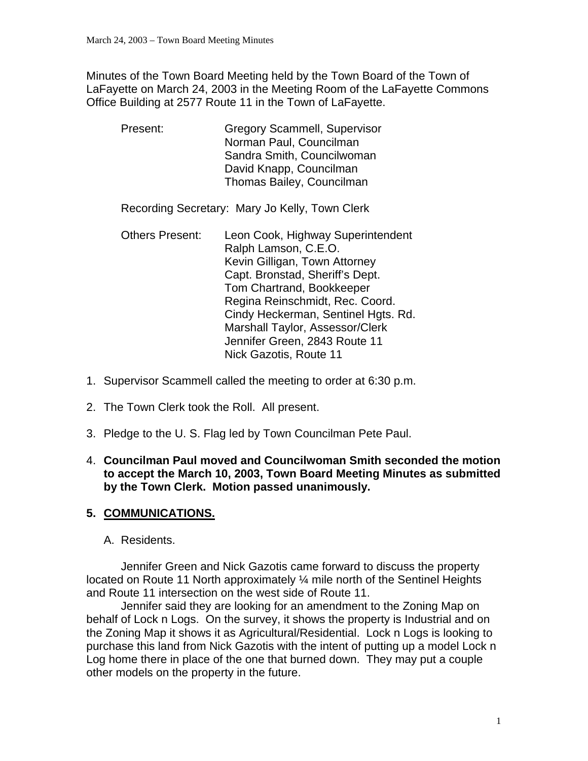Minutes of the Town Board Meeting held by the Town Board of the Town of LaFayette on March 24, 2003 in the Meeting Room of the LaFayette Commons Office Building at 2577 Route 11 in the Town of LaFayette.

 Present: Gregory Scammell, Supervisor Norman Paul, Councilman Sandra Smith, Councilwoman David Knapp, Councilman Thomas Bailey, Councilman

Recording Secretary: Mary Jo Kelly, Town Clerk

- Others Present: Leon Cook, Highway Superintendent Ralph Lamson, C.E.O. Kevin Gilligan, Town Attorney Capt. Bronstad, Sheriff's Dept. Tom Chartrand, Bookkeeper Regina Reinschmidt, Rec. Coord. Cindy Heckerman, Sentinel Hgts. Rd. Marshall Taylor, Assessor/Clerk Jennifer Green, 2843 Route 11 Nick Gazotis, Route 11
- 1. Supervisor Scammell called the meeting to order at 6:30 p.m.
- 2. The Town Clerk took the Roll. All present.
- 3. Pledge to the U. S. Flag led by Town Councilman Pete Paul.
- 4. **Councilman Paul moved and Councilwoman Smith seconded the motion to accept the March 10, 2003, Town Board Meeting Minutes as submitted by the Town Clerk. Motion passed unanimously.**

#### **5. COMMUNICATIONS.**

A. Residents.

Jennifer Green and Nick Gazotis came forward to discuss the property located on Route 11 North approximately  $\frac{1}{4}$  mile north of the Sentinel Heights and Route 11 intersection on the west side of Route 11.

 Jennifer said they are looking for an amendment to the Zoning Map on behalf of Lock n Logs. On the survey, it shows the property is Industrial and on the Zoning Map it shows it as Agricultural/Residential. Lock n Logs is looking to purchase this land from Nick Gazotis with the intent of putting up a model Lock n Log home there in place of the one that burned down. They may put a couple other models on the property in the future.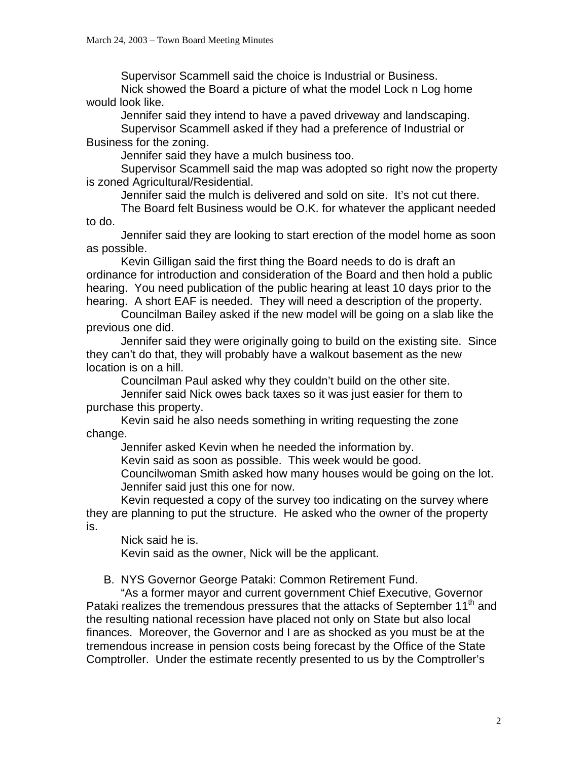Supervisor Scammell said the choice is Industrial or Business.

 Nick showed the Board a picture of what the model Lock n Log home would look like.

Jennifer said they intend to have a paved driveway and landscaping.

 Supervisor Scammell asked if they had a preference of Industrial or Business for the zoning.

Jennifer said they have a mulch business too.

 Supervisor Scammell said the map was adopted so right now the property is zoned Agricultural/Residential.

Jennifer said the mulch is delivered and sold on site. It's not cut there.

 The Board felt Business would be O.K. for whatever the applicant needed to do.

 Jennifer said they are looking to start erection of the model home as soon as possible.

 Kevin Gilligan said the first thing the Board needs to do is draft an ordinance for introduction and consideration of the Board and then hold a public hearing. You need publication of the public hearing at least 10 days prior to the hearing. A short EAF is needed. They will need a description of the property.

 Councilman Bailey asked if the new model will be going on a slab like the previous one did.

 Jennifer said they were originally going to build on the existing site. Since they can't do that, they will probably have a walkout basement as the new location is on a hill.

Councilman Paul asked why they couldn't build on the other site.

 Jennifer said Nick owes back taxes so it was just easier for them to purchase this property.

 Kevin said he also needs something in writing requesting the zone change.

Jennifer asked Kevin when he needed the information by.

Kevin said as soon as possible. This week would be good.

 Councilwoman Smith asked how many houses would be going on the lot. Jennifer said just this one for now.

 Kevin requested a copy of the survey too indicating on the survey where they are planning to put the structure. He asked who the owner of the property is.

Nick said he is.

Kevin said as the owner, Nick will be the applicant.

B. NYS Governor George Pataki: Common Retirement Fund.

"As a former mayor and current government Chief Executive, Governor Pataki realizes the tremendous pressures that the attacks of September 11<sup>th</sup> and the resulting national recession have placed not only on State but also local finances. Moreover, the Governor and I are as shocked as you must be at the tremendous increase in pension costs being forecast by the Office of the State Comptroller. Under the estimate recently presented to us by the Comptroller's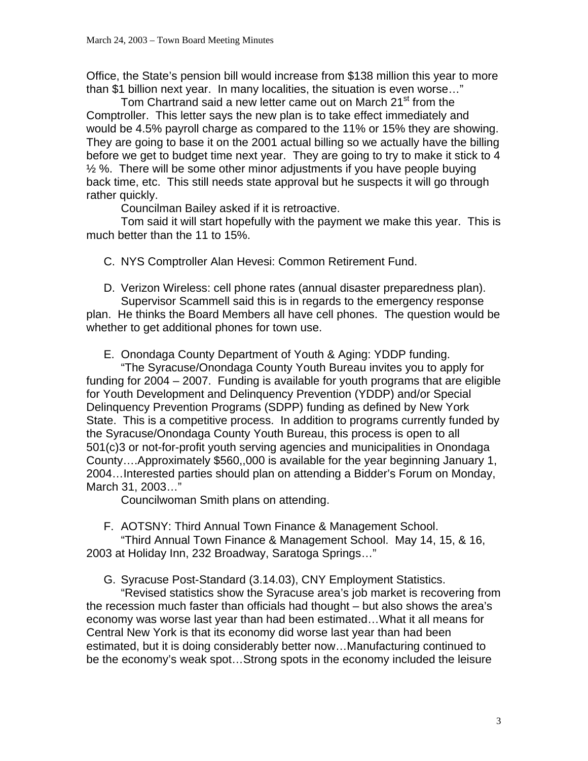Office, the State's pension bill would increase from \$138 million this year to more than \$1 billion next year. In many localities, the situation is even worse…"

Tom Chartrand said a new letter came out on March 21<sup>st</sup> from the Comptroller. This letter says the new plan is to take effect immediately and would be 4.5% payroll charge as compared to the 11% or 15% they are showing. They are going to base it on the 2001 actual billing so we actually have the billing before we get to budget time next year. They are going to try to make it stick to 4  $\frac{1}{2}$ %. There will be some other minor adjustments if you have people buying back time, etc. This still needs state approval but he suspects it will go through rather quickly.

Councilman Bailey asked if it is retroactive.

 Tom said it will start hopefully with the payment we make this year. This is much better than the 11 to 15%.

C. NYS Comptroller Alan Hevesi: Common Retirement Fund.

D. Verizon Wireless: cell phone rates (annual disaster preparedness plan).

Supervisor Scammell said this is in regards to the emergency response plan. He thinks the Board Members all have cell phones. The question would be whether to get additional phones for town use.

E. Onondaga County Department of Youth & Aging: YDDP funding.

"The Syracuse/Onondaga County Youth Bureau invites you to apply for funding for 2004 – 2007. Funding is available for youth programs that are eligible for Youth Development and Delinquency Prevention (YDDP) and/or Special Delinquency Prevention Programs (SDPP) funding as defined by New York State. This is a competitive process. In addition to programs currently funded by the Syracuse/Onondaga County Youth Bureau, this process is open to all 501(c)3 or not-for-profit youth serving agencies and municipalities in Onondaga County….Approximately \$560,,000 is available for the year beginning January 1, 2004…Interested parties should plan on attending a Bidder's Forum on Monday, March 31, 2003…"

Councilwoman Smith plans on attending.

F. AOTSNY: Third Annual Town Finance & Management School.

"Third Annual Town Finance & Management School. May 14, 15, & 16, 2003 at Holiday Inn, 232 Broadway, Saratoga Springs…"

G. Syracuse Post-Standard (3.14.03), CNY Employment Statistics.

"Revised statistics show the Syracuse area's job market is recovering from the recession much faster than officials had thought – but also shows the area's economy was worse last year than had been estimated…What it all means for Central New York is that its economy did worse last year than had been estimated, but it is doing considerably better now…Manufacturing continued to be the economy's weak spot…Strong spots in the economy included the leisure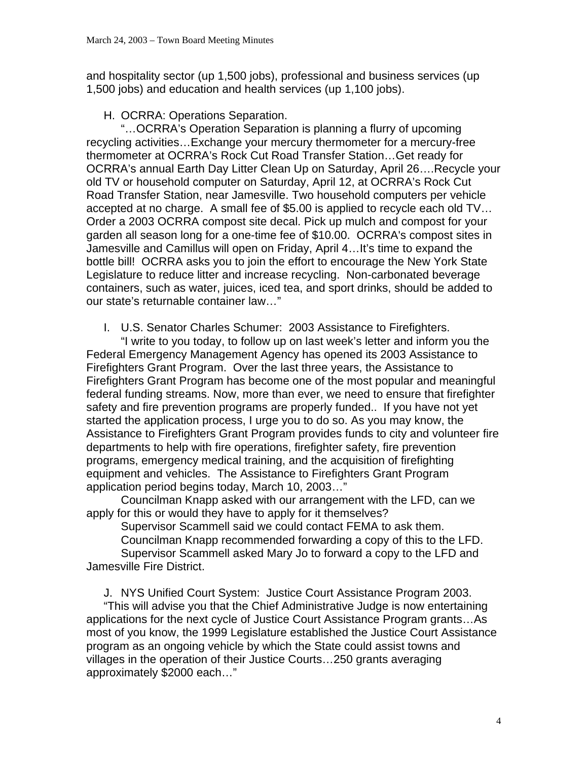and hospitality sector (up 1,500 jobs), professional and business services (up 1,500 jobs) and education and health services (up 1,100 jobs).

H. OCRRA: Operations Separation.

"…OCRRA's Operation Separation is planning a flurry of upcoming recycling activities…Exchange your mercury thermometer for a mercury-free thermometer at OCRRA's Rock Cut Road Transfer Station…Get ready for OCRRA's annual Earth Day Litter Clean Up on Saturday, April 26….Recycle your old TV or household computer on Saturday, April 12, at OCRRA's Rock Cut Road Transfer Station, near Jamesville. Two household computers per vehicle accepted at no charge. A small fee of \$5.00 is applied to recycle each old TV… Order a 2003 OCRRA compost site decal. Pick up mulch and compost for your garden all season long for a one-time fee of \$10.00. OCRRA's compost sites in Jamesville and Camillus will open on Friday, April 4…It's time to expand the bottle bill! OCRRA asks you to join the effort to encourage the New York State Legislature to reduce litter and increase recycling. Non-carbonated beverage containers, such as water, juices, iced tea, and sport drinks, should be added to our state's returnable container law…"

I. U.S. Senator Charles Schumer: 2003 Assistance to Firefighters.

"I write to you today, to follow up on last week's letter and inform you the Federal Emergency Management Agency has opened its 2003 Assistance to Firefighters Grant Program. Over the last three years, the Assistance to Firefighters Grant Program has become one of the most popular and meaningful federal funding streams. Now, more than ever, we need to ensure that firefighter safety and fire prevention programs are properly funded.. If you have not yet started the application process, I urge you to do so. As you may know, the Assistance to Firefighters Grant Program provides funds to city and volunteer fire departments to help with fire operations, firefighter safety, fire prevention programs, emergency medical training, and the acquisition of firefighting equipment and vehicles. The Assistance to Firefighters Grant Program application period begins today, March 10, 2003…"

 Councilman Knapp asked with our arrangement with the LFD, can we apply for this or would they have to apply for it themselves?

Supervisor Scammell said we could contact FEMA to ask them.

Councilman Knapp recommended forwarding a copy of this to the LFD.

 Supervisor Scammell asked Mary Jo to forward a copy to the LFD and Jamesville Fire District.

J. NYS Unified Court System: Justice Court Assistance Program 2003.

"This will advise you that the Chief Administrative Judge is now entertaining applications for the next cycle of Justice Court Assistance Program grants…As most of you know, the 1999 Legislature established the Justice Court Assistance program as an ongoing vehicle by which the State could assist towns and villages in the operation of their Justice Courts…250 grants averaging approximately \$2000 each…"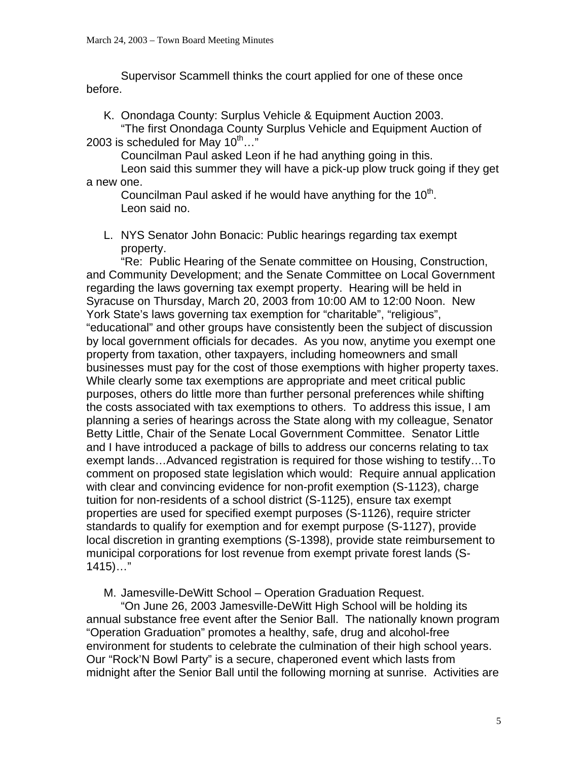Supervisor Scammell thinks the court applied for one of these once before.

K. Onondaga County: Surplus Vehicle & Equipment Auction 2003.

"The first Onondaga County Surplus Vehicle and Equipment Auction of 2003 is scheduled for May  $10^{\text{th}}...$ "

Councilman Paul asked Leon if he had anything going in this.

 Leon said this summer they will have a pick-up plow truck going if they get a new one.

Councilman Paul asked if he would have anything for the  $10<sup>th</sup>$ . Leon said no.

L. NYS Senator John Bonacic: Public hearings regarding tax exempt property.

"Re: Public Hearing of the Senate committee on Housing, Construction, and Community Development; and the Senate Committee on Local Government regarding the laws governing tax exempt property. Hearing will be held in Syracuse on Thursday, March 20, 2003 from 10:00 AM to 12:00 Noon. New York State's laws governing tax exemption for "charitable", "religious", "educational" and other groups have consistently been the subject of discussion by local government officials for decades. As you now, anytime you exempt one property from taxation, other taxpayers, including homeowners and small businesses must pay for the cost of those exemptions with higher property taxes. While clearly some tax exemptions are appropriate and meet critical public purposes, others do little more than further personal preferences while shifting the costs associated with tax exemptions to others. To address this issue, I am planning a series of hearings across the State along with my colleague, Senator Betty Little, Chair of the Senate Local Government Committee. Senator Little and I have introduced a package of bills to address our concerns relating to tax exempt lands…Advanced registration is required for those wishing to testify…To comment on proposed state legislation which would: Require annual application with clear and convincing evidence for non-profit exemption (S-1123), charge tuition for non-residents of a school district (S-1125), ensure tax exempt properties are used for specified exempt purposes (S-1126), require stricter standards to qualify for exemption and for exempt purpose (S-1127), provide local discretion in granting exemptions (S-1398), provide state reimbursement to municipal corporations for lost revenue from exempt private forest lands (S- $1415)...$ "

M. Jamesville-DeWitt School – Operation Graduation Request.

"On June 26, 2003 Jamesville-DeWitt High School will be holding its annual substance free event after the Senior Ball. The nationally known program "Operation Graduation" promotes a healthy, safe, drug and alcohol-free environment for students to celebrate the culmination of their high school years. Our "Rock'N Bowl Party" is a secure, chaperoned event which lasts from midnight after the Senior Ball until the following morning at sunrise. Activities are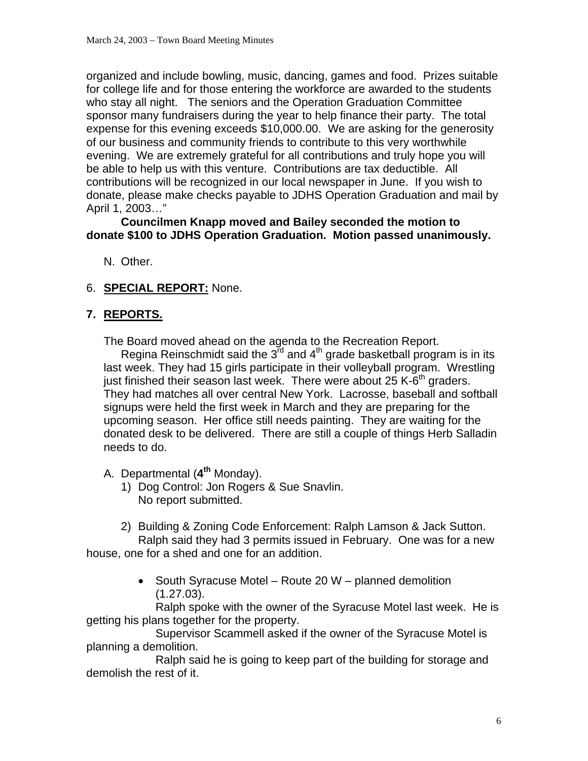organized and include bowling, music, dancing, games and food. Prizes suitable for college life and for those entering the workforce are awarded to the students who stay all night. The seniors and the Operation Graduation Committee sponsor many fundraisers during the year to help finance their party. The total expense for this evening exceeds \$10,000.00. We are asking for the generosity of our business and community friends to contribute to this very worthwhile evening. We are extremely grateful for all contributions and truly hope you will be able to help us with this venture. Contributions are tax deductible. All contributions will be recognized in our local newspaper in June. If you wish to donate, please make checks payable to JDHS Operation Graduation and mail by April 1, 2003…"

#### **Councilmen Knapp moved and Bailey seconded the motion to donate \$100 to JDHS Operation Graduation. Motion passed unanimously.**

N. Other.

# 6. **SPECIAL REPORT:** None.

### **7. REPORTS.**

The Board moved ahead on the agenda to the Recreation Report.

Regina Reinschmidt said the  $3^{\overline{r}d}$  and  $4^{\overline{r}h}$  grade basketball program is in its last week. They had 15 girls participate in their volleyball program. Wrestling just finished their season last week. There were about 25 K- $6<sup>th</sup>$  graders. They had matches all over central New York. Lacrosse, baseball and softball signups were held the first week in March and they are preparing for the upcoming season. Her office still needs painting. They are waiting for the donated desk to be delivered. There are still a couple of things Herb Salladin needs to do.

A. Departmental (**4th** Monday).

- 1) Dog Control: Jon Rogers & Sue Snavlin. No report submitted.
- 2) Building & Zoning Code Enforcement: Ralph Lamson & Jack Sutton.

Ralph said they had 3 permits issued in February. One was for a new house, one for a shed and one for an addition.

> • South Syracuse Motel – Route 20 W – planned demolition (1.27.03).

Ralph spoke with the owner of the Syracuse Motel last week. He is getting his plans together for the property.

Supervisor Scammell asked if the owner of the Syracuse Motel is planning a demolition.

 Ralph said he is going to keep part of the building for storage and demolish the rest of it.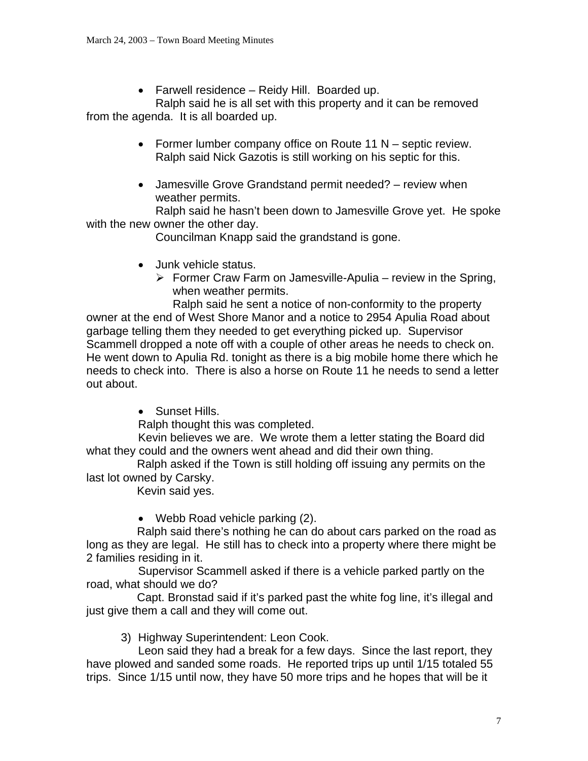• Farwell residence – Reidy Hill. Boarded up.

Ralph said he is all set with this property and it can be removed from the agenda. It is all boarded up.

- Former lumber company office on Route 11 N septic review. Ralph said Nick Gazotis is still working on his septic for this.
- Jamesville Grove Grandstand permit needed? review when weather permits.

Ralph said he hasn't been down to Jamesville Grove yet. He spoke with the new owner the other day.

Councilman Knapp said the grandstand is gone.

- Junk vehicle status.
	- $\triangleright$  Former Craw Farm on Jamesville-Apulia review in the Spring, when weather permits.

Ralph said he sent a notice of non-conformity to the property owner at the end of West Shore Manor and a notice to 2954 Apulia Road about garbage telling them they needed to get everything picked up. Supervisor Scammell dropped a note off with a couple of other areas he needs to check on. He went down to Apulia Rd. tonight as there is a big mobile home there which he needs to check into. There is also a horse on Route 11 he needs to send a letter out about.

• Sunset Hills.

Ralph thought this was completed.

Kevin believes we are. We wrote them a letter stating the Board did what they could and the owners went ahead and did their own thing.

 Ralph asked if the Town is still holding off issuing any permits on the last lot owned by Carsky.

Kevin said yes.

• Webb Road vehicle parking (2).

 Ralph said there's nothing he can do about cars parked on the road as long as they are legal. He still has to check into a property where there might be 2 families residing in it.

Supervisor Scammell asked if there is a vehicle parked partly on the road, what should we do?

 Capt. Bronstad said if it's parked past the white fog line, it's illegal and just give them a call and they will come out.

3) Highway Superintendent: Leon Cook.

Leon said they had a break for a few days. Since the last report, they have plowed and sanded some roads. He reported trips up until 1/15 totaled 55 trips. Since 1/15 until now, they have 50 more trips and he hopes that will be it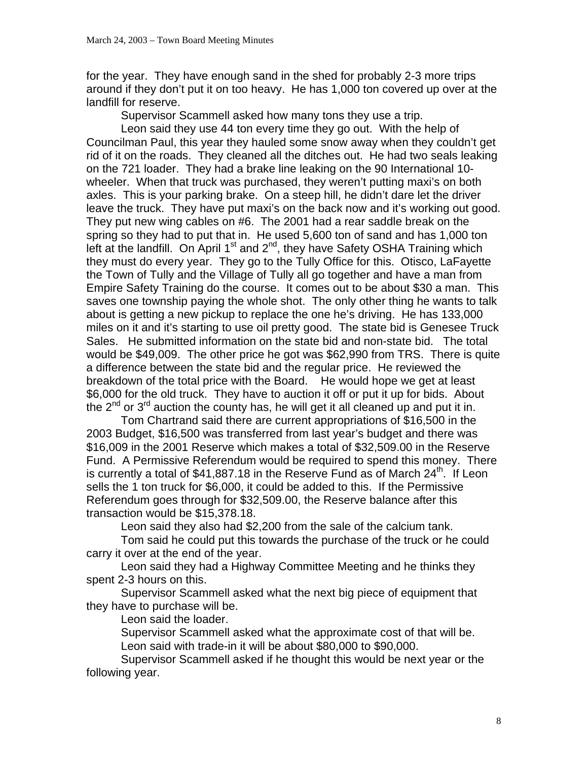for the year. They have enough sand in the shed for probably 2-3 more trips around if they don't put it on too heavy. He has 1,000 ton covered up over at the landfill for reserve.

Supervisor Scammell asked how many tons they use a trip.

 Leon said they use 44 ton every time they go out. With the help of Councilman Paul, this year they hauled some snow away when they couldn't get rid of it on the roads. They cleaned all the ditches out. He had two seals leaking on the 721 loader. They had a brake line leaking on the 90 International 10 wheeler. When that truck was purchased, they weren't putting maxi's on both axles. This is your parking brake. On a steep hill, he didn't dare let the driver leave the truck. They have put maxi's on the back now and it's working out good. They put new wing cables on #6. The 2001 had a rear saddle break on the spring so they had to put that in. He used 5,600 ton of sand and has 1,000 ton left at the landfill. On April  $1<sup>st</sup>$  and  $2<sup>nd</sup>$ , they have Safety OSHA Training which they must do every year. They go to the Tully Office for this. Otisco, LaFayette the Town of Tully and the Village of Tully all go together and have a man from Empire Safety Training do the course. It comes out to be about \$30 a man. This saves one township paying the whole shot. The only other thing he wants to talk about is getting a new pickup to replace the one he's driving. He has 133,000 miles on it and it's starting to use oil pretty good. The state bid is Genesee Truck Sales. He submitted information on the state bid and non-state bid. The total would be \$49,009. The other price he got was \$62,990 from TRS. There is quite a difference between the state bid and the regular price. He reviewed the breakdown of the total price with the Board. He would hope we get at least \$6,000 for the old truck. They have to auction it off or put it up for bids. About the 2<sup>nd</sup> or 3<sup>rd</sup> auction the county has, he will get it all cleaned up and put it in.

 Tom Chartrand said there are current appropriations of \$16,500 in the 2003 Budget, \$16,500 was transferred from last year's budget and there was \$16,009 in the 2001 Reserve which makes a total of \$32,509.00 in the Reserve Fund. A Permissive Referendum would be required to spend this money. There is currently a total of \$41,887.18 in the Reserve Fund as of March 24<sup>th</sup>. If Leon sells the 1 ton truck for \$6,000, it could be added to this. If the Permissive Referendum goes through for \$32,509.00, the Reserve balance after this transaction would be \$15,378.18.

Leon said they also had \$2,200 from the sale of the calcium tank.

 Tom said he could put this towards the purchase of the truck or he could carry it over at the end of the year.

 Leon said they had a Highway Committee Meeting and he thinks they spent 2-3 hours on this.

 Supervisor Scammell asked what the next big piece of equipment that they have to purchase will be.

Leon said the loader.

 Supervisor Scammell asked what the approximate cost of that will be. Leon said with trade-in it will be about \$80,000 to \$90,000.

 Supervisor Scammell asked if he thought this would be next year or the following year.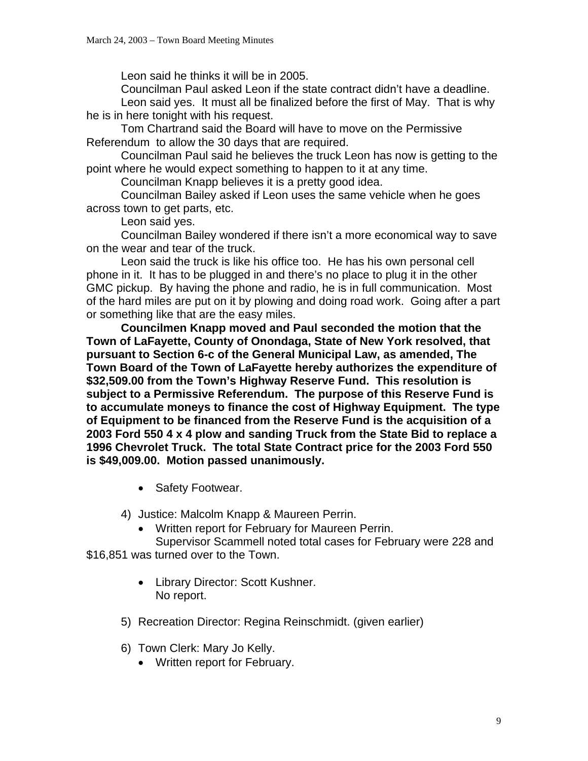Leon said he thinks it will be in 2005.

Councilman Paul asked Leon if the state contract didn't have a deadline.

 Leon said yes. It must all be finalized before the first of May. That is why he is in here tonight with his request.

 Tom Chartrand said the Board will have to move on the Permissive Referendum to allow the 30 days that are required.

 Councilman Paul said he believes the truck Leon has now is getting to the point where he would expect something to happen to it at any time.

Councilman Knapp believes it is a pretty good idea.

 Councilman Bailey asked if Leon uses the same vehicle when he goes across town to get parts, etc.

Leon said yes.

 Councilman Bailey wondered if there isn't a more economical way to save on the wear and tear of the truck.

 Leon said the truck is like his office too. He has his own personal cell phone in it. It has to be plugged in and there's no place to plug it in the other GMC pickup. By having the phone and radio, he is in full communication. Most of the hard miles are put on it by plowing and doing road work. Going after a part or something like that are the easy miles.

 **Councilmen Knapp moved and Paul seconded the motion that the Town of LaFayette, County of Onondaga, State of New York resolved, that pursuant to Section 6-c of the General Municipal Law, as amended, The Town Board of the Town of LaFayette hereby authorizes the expenditure of \$32,509.00 from the Town's Highway Reserve Fund. This resolution is subject to a Permissive Referendum. The purpose of this Reserve Fund is to accumulate moneys to finance the cost of Highway Equipment. The type of Equipment to be financed from the Reserve Fund is the acquisition of a 2003 Ford 550 4 x 4 plow and sanding Truck from the State Bid to replace a 1996 Chevrolet Truck. The total State Contract price for the 2003 Ford 550 is \$49,009.00. Motion passed unanimously.**

• Safety Footwear.

4) Justice: Malcolm Knapp & Maureen Perrin.

• Written report for February for Maureen Perrin.

Supervisor Scammell noted total cases for February were 228 and \$16,851 was turned over to the Town.

- Library Director: Scott Kushner. No report.
- 5) Recreation Director: Regina Reinschmidt. (given earlier)
- 6) Town Clerk: Mary Jo Kelly.
	- Written report for February.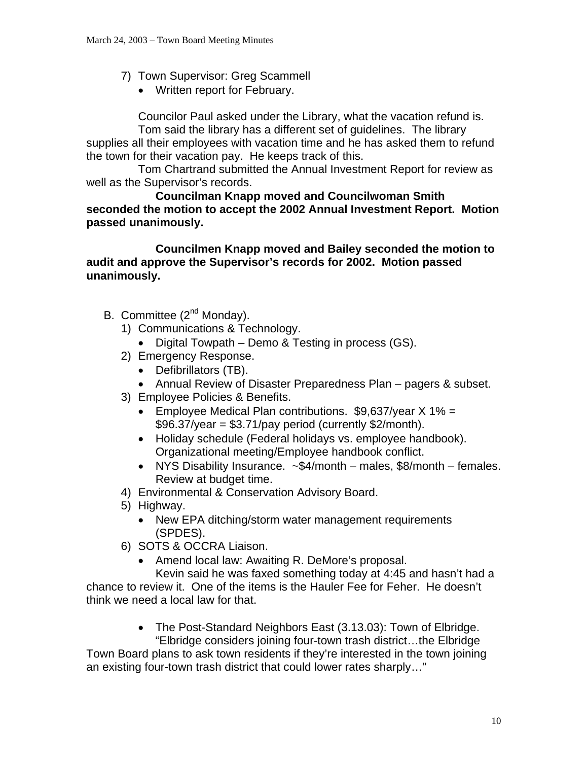- 7) Town Supervisor: Greg Scammell
	- Written report for February.

Councilor Paul asked under the Library, what the vacation refund is.

Tom said the library has a different set of guidelines. The library supplies all their employees with vacation time and he has asked them to refund the town for their vacation pay. He keeps track of this.

Tom Chartrand submitted the Annual Investment Report for review as well as the Supervisor's records.

**Councilman Knapp moved and Councilwoman Smith seconded the motion to accept the 2002 Annual Investment Report. Motion passed unanimously.** 

 **Councilmen Knapp moved and Bailey seconded the motion to audit and approve the Supervisor's records for 2002. Motion passed unanimously.**

- B. Committee (2<sup>nd</sup> Monday).
	- 1) Communications & Technology.
		- Digital Towpath Demo & Testing in process (GS).
	- 2) Emergency Response.
		- Defibrillators (TB).
		- Annual Review of Disaster Preparedness Plan pagers & subset.
	- 3) Employee Policies & Benefits.
		- Employee Medical Plan contributions. \$9,637/year X 1% =  $$96.37/year = $3.71/pay period (currently $2/month).$
		- Holiday schedule (Federal holidays vs. employee handbook). Organizational meeting/Employee handbook conflict.
		- NYS Disability Insurance. ~\$4/month males, \$8/month females. Review at budget time.
	- 4) Environmental & Conservation Advisory Board.
	- 5) Highway.
		- New EPA ditching/storm water management requirements (SPDES).
	- 6) SOTS & OCCRA Liaison.
		- Amend local law: Awaiting R. DeMore's proposal.

Kevin said he was faxed something today at 4:45 and hasn't had a chance to review it. One of the items is the Hauler Fee for Feher. He doesn't think we need a local law for that.

> • The Post-Standard Neighbors East (3.13.03): Town of Elbridge. "Elbridge considers joining four-town trash district…the Elbridge

Town Board plans to ask town residents if they're interested in the town joining an existing four-town trash district that could lower rates sharply…"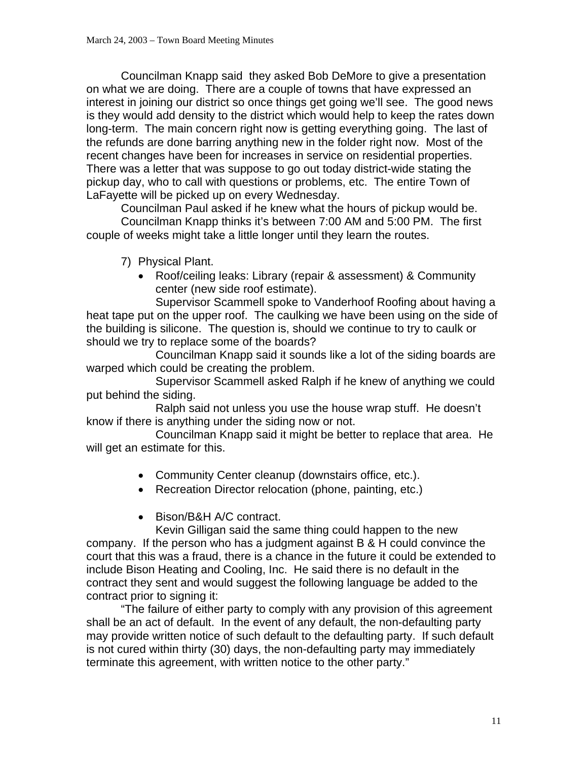Councilman Knapp said they asked Bob DeMore to give a presentation on what we are doing. There are a couple of towns that have expressed an interest in joining our district so once things get going we'll see. The good news is they would add density to the district which would help to keep the rates down long-term. The main concern right now is getting everything going. The last of the refunds are done barring anything new in the folder right now. Most of the recent changes have been for increases in service on residential properties. There was a letter that was suppose to go out today district-wide stating the pickup day, who to call with questions or problems, etc. The entire Town of LaFayette will be picked up on every Wednesday.

 Councilman Paul asked if he knew what the hours of pickup would be. Councilman Knapp thinks it's between 7:00 AM and 5:00 PM. The first couple of weeks might take a little longer until they learn the routes.

7) Physical Plant.

• Roof/ceiling leaks: Library (repair & assessment) & Community center (new side roof estimate).

Supervisor Scammell spoke to Vanderhoof Roofing about having a heat tape put on the upper roof. The caulking we have been using on the side of the building is silicone. The question is, should we continue to try to caulk or should we try to replace some of the boards?

 Councilman Knapp said it sounds like a lot of the siding boards are warped which could be creating the problem.

 Supervisor Scammell asked Ralph if he knew of anything we could put behind the siding.

 Ralph said not unless you use the house wrap stuff. He doesn't know if there is anything under the siding now or not.

 Councilman Knapp said it might be better to replace that area. He will get an estimate for this.

- Community Center cleanup (downstairs office, etc.).
- Recreation Director relocation (phone, painting, etc.)
- Bison/B&H A/C contract.

Kevin Gilligan said the same thing could happen to the new company. If the person who has a judgment against B & H could convince the court that this was a fraud, there is a chance in the future it could be extended to include Bison Heating and Cooling, Inc. He said there is no default in the contract they sent and would suggest the following language be added to the contract prior to signing it:

 "The failure of either party to comply with any provision of this agreement shall be an act of default. In the event of any default, the non-defaulting party may provide written notice of such default to the defaulting party. If such default is not cured within thirty (30) days, the non-defaulting party may immediately terminate this agreement, with written notice to the other party."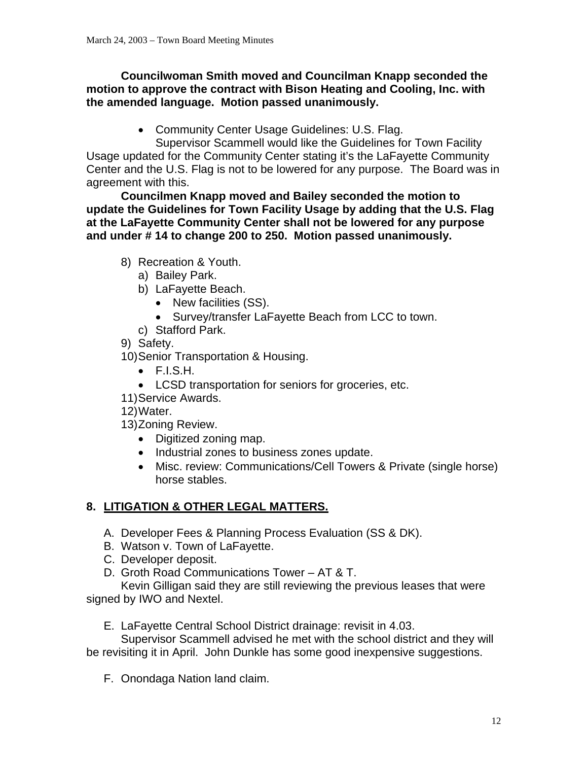### **Councilwoman Smith moved and Councilman Knapp seconded the motion to approve the contract with Bison Heating and Cooling, Inc. with the amended language. Motion passed unanimously.**

• Community Center Usage Guidelines: U.S. Flag.

Supervisor Scammell would like the Guidelines for Town Facility Usage updated for the Community Center stating it's the LaFayette Community Center and the U.S. Flag is not to be lowered for any purpose. The Board was in agreement with this.

**Councilmen Knapp moved and Bailey seconded the motion to update the Guidelines for Town Facility Usage by adding that the U.S. Flag at the LaFayette Community Center shall not be lowered for any purpose and under # 14 to change 200 to 250. Motion passed unanimously.** 

- 8) Recreation & Youth.
	- a) Bailey Park.
	- b) LaFayette Beach.
		- New facilities (SS).
		- Survey/transfer LaFayette Beach from LCC to town.
	- c) Stafford Park.
- 9) Safety.

10) Senior Transportation & Housing.

- $\bullet$  F.I.S.H.
- LCSD transportation for seniors for groceries, etc.
- 11) Service Awards.
- 12) Water.
- 13) Zoning Review.
	- Digitized zoning map.
	- Industrial zones to business zones update.
	- Misc. review: Communications/Cell Towers & Private (single horse) horse stables.

# **8. LITIGATION & OTHER LEGAL MATTERS.**

- A. Developer Fees & Planning Process Evaluation (SS & DK).
- B. Watson v. Town of LaFayette.
- C. Developer deposit.
- D. Groth Road Communications Tower AT & T.

Kevin Gilligan said they are still reviewing the previous leases that were signed by IWO and Nextel.

E. LaFayette Central School District drainage: revisit in 4.03.

Supervisor Scammell advised he met with the school district and they will be revisiting it in April. John Dunkle has some good inexpensive suggestions.

F. Onondaga Nation land claim.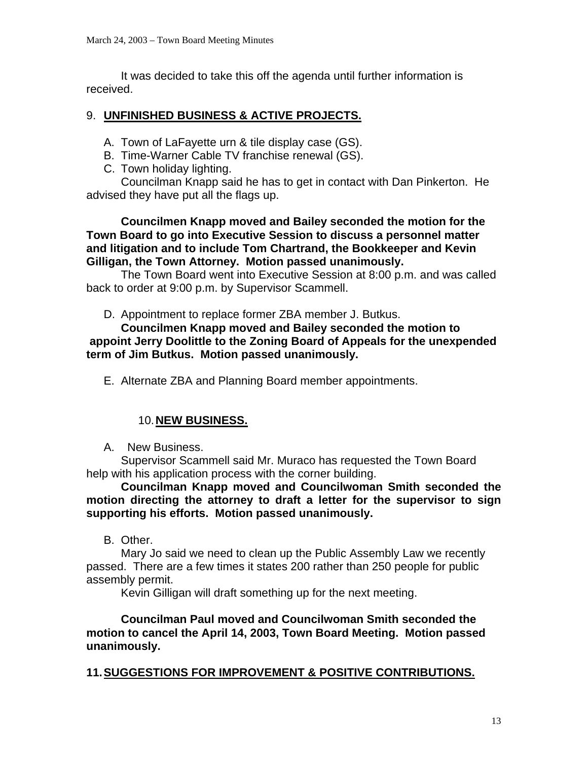It was decided to take this off the agenda until further information is received.

# 9. **UNFINISHED BUSINESS & ACTIVE PROJECTS.**

- A. Town of LaFayette urn & tile display case (GS).
- B. Time-Warner Cable TV franchise renewal (GS).
- C. Town holiday lighting.

Councilman Knapp said he has to get in contact with Dan Pinkerton. He advised they have put all the flags up.

**Councilmen Knapp moved and Bailey seconded the motion for the Town Board to go into Executive Session to discuss a personnel matter and litigation and to include Tom Chartrand, the Bookkeeper and Kevin Gilligan, the Town Attorney. Motion passed unanimously.** 

 The Town Board went into Executive Session at 8:00 p.m. and was called back to order at 9:00 p.m. by Supervisor Scammell.

D. Appointment to replace former ZBA member J. Butkus.

**Councilmen Knapp moved and Bailey seconded the motion to appoint Jerry Doolittle to the Zoning Board of Appeals for the unexpended term of Jim Butkus. Motion passed unanimously.** 

E. Alternate ZBA and Planning Board member appointments.

# 10. **NEW BUSINESS.**

A. New Business.

Supervisor Scammell said Mr. Muraco has requested the Town Board help with his application process with the corner building.

**Councilman Knapp moved and Councilwoman Smith seconded the motion directing the attorney to draft a letter for the supervisor to sign supporting his efforts. Motion passed unanimously.** 

B. Other.

Mary Jo said we need to clean up the Public Assembly Law we recently passed. There are a few times it states 200 rather than 250 people for public assembly permit.

Kevin Gilligan will draft something up for the next meeting.

**Councilman Paul moved and Councilwoman Smith seconded the motion to cancel the April 14, 2003, Town Board Meeting. Motion passed unanimously.** 

# **11. SUGGESTIONS FOR IMPROVEMENT & POSITIVE CONTRIBUTIONS.**